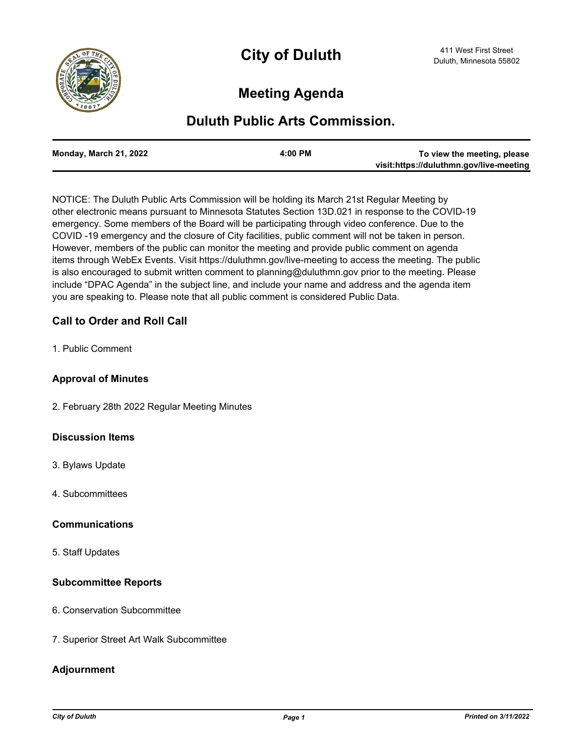

# **Meeting Agenda**

## **Duluth Public Arts Commission.**

| To view the meeting, please             | $4:00$ PM | Monday, March 21, 2022 |
|-----------------------------------------|-----------|------------------------|
| visit:https://duluthmn.gov/live-meeting |           |                        |

NOTICE: The Duluth Public Arts Commission will be holding its March 21st Regular Meeting by other electronic means pursuant to Minnesota Statutes Section 13D.021 in response to the COVID-19 emergency. Some members of the Board will be participating through video conference. Due to the COVID -19 emergency and the closure of City facilities, public comment will not be taken in person. However, members of the public can monitor the meeting and provide public comment on agenda items through WebEx Events. Visit https://duluthmn.gov/live-meeting to access the meeting. The public is also encouraged to submit written comment to planning@duluthmn.gov prior to the meeting. Please include "DPAC Agenda" in the subject line, and include your name and address and the agenda item you are speaking to. Please note that all public comment is considered Public Data.

### **Call to Order and Roll Call**

1. Public Comment

#### **Approval of Minutes**

2. February 28th 2022 Regular Meeting Minutes

#### **Discussion Items**

- 3. Bylaws Update
- 4. Subcommittees

#### **Communications**

5. Staff Updates

#### **Subcommittee Reports**

- 6. Conservation Subcommittee
- 7. Superior Street Art Walk Subcommittee

#### **Adjournment**